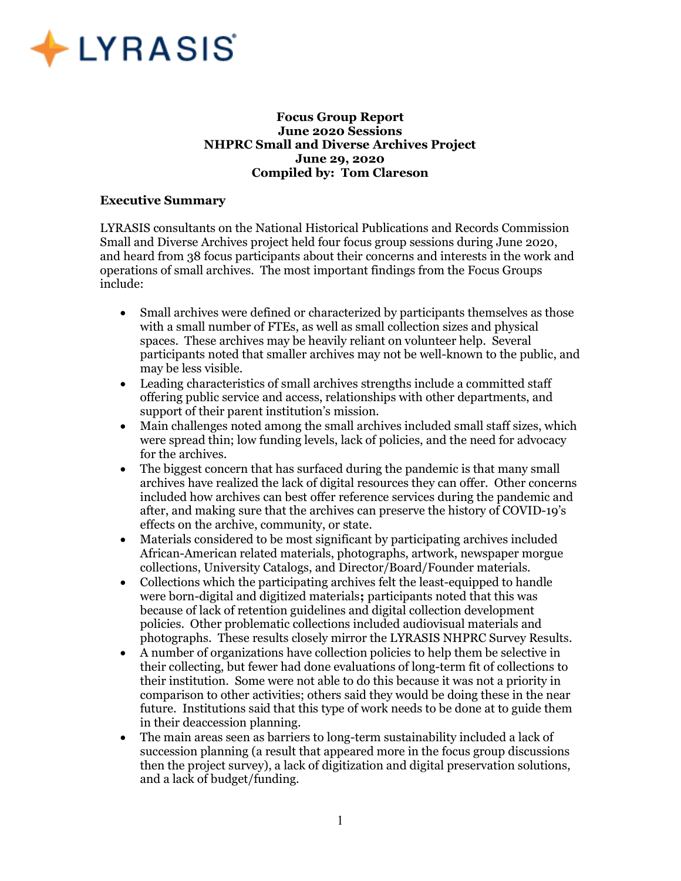

### Focus Group Report June 2020 Sessions NHPRC Small and Diverse Archives Project June 29, 2020 Compiled by: Tom Clareson

### Executive Summary

LYRASIS consultants on the National Historical Publications and Records Commission Small and Diverse Archives project held four focus group sessions during June 2020, and heard from 38 focus participants about their concerns and interests in the work and operations of small archives. The most important findings from the Focus Groups include:

- Small archives were defined or characterized by participants themselves as those with a small number of FTEs, as well as small collection sizes and physical spaces. These archives may be heavily reliant on volunteer help. Several participants noted that smaller archives may not be well-known to the public, and may be less visible.
- Leading characteristics of small archives strengths include a committed staff offering public service and access, relationships with other departments, and support of their parent institution's mission.
- Main challenges noted among the small archives included small staff sizes, which were spread thin; low funding levels, lack of policies, and the need for advocacy for the archives.
- The biggest concern that has surfaced during the pandemic is that many small archives have realized the lack of digital resources they can offer. Other concerns included how archives can best offer reference services during the pandemic and after, and making sure that the archives can preserve the history of COVID-19's effects on the archive, community, or state.
- Materials considered to be most significant by participating archives included African-American related materials, photographs, artwork, newspaper morgue collections, University Catalogs, and Director/Board/Founder materials.
- Collections which the participating archives felt the least-equipped to handle were born-digital and digitized materials; participants noted that this was because of lack of retention guidelines and digital collection development policies. Other problematic collections included audiovisual materials and photographs. These results closely mirror the LYRASIS NHPRC Survey Results.
- A number of organizations have collection policies to help them be selective in their collecting, but fewer had done evaluations of long-term fit of collections to their institution. Some were not able to do this because it was not a priority in comparison to other activities; others said they would be doing these in the near future. Institutions said that this type of work needs to be done at to guide them in their deaccession planning.
- The main areas seen as barriers to long-term sustainability included a lack of succession planning (a result that appeared more in the focus group discussions then the project survey), a lack of digitization and digital preservation solutions, and a lack of budget/funding.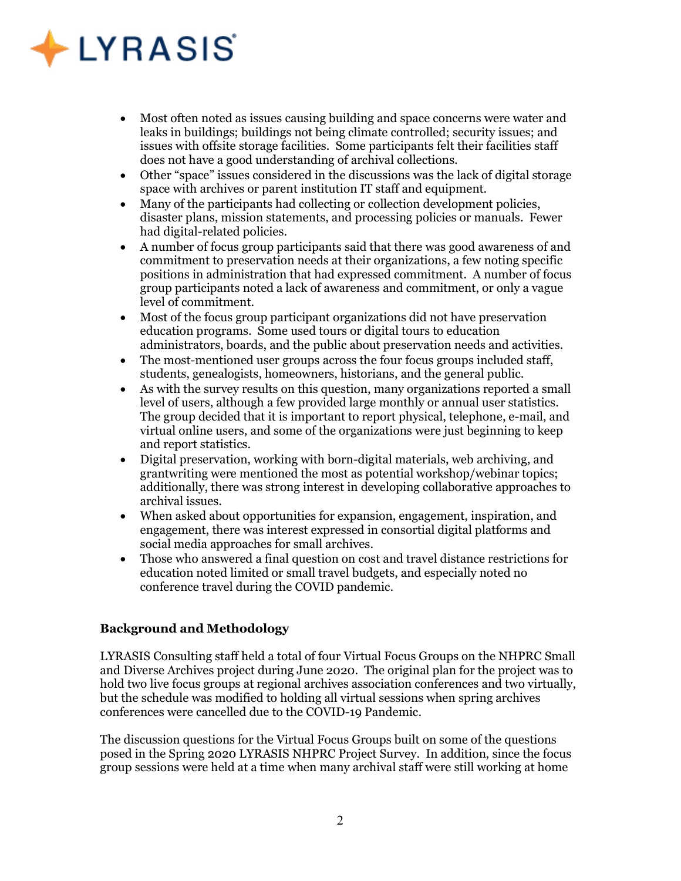# $\triangle$  LYRASIS

- Most often noted as issues causing building and space concerns were water and leaks in buildings; buildings not being climate controlled; security issues; and issues with offsite storage facilities. Some participants felt their facilities staff does not have a good understanding of archival collections.
- Other "space" issues considered in the discussions was the lack of digital storage space with archives or parent institution IT staff and equipment.
- Many of the participants had collecting or collection development policies, disaster plans, mission statements, and processing policies or manuals. Fewer had digital-related policies.
- A number of focus group participants said that there was good awareness of and commitment to preservation needs at their organizations, a few noting specific positions in administration that had expressed commitment. A number of focus group participants noted a lack of awareness and commitment, or only a vague level of commitment.
- Most of the focus group participant organizations did not have preservation education programs. Some used tours or digital tours to education administrators, boards, and the public about preservation needs and activities.
- The most-mentioned user groups across the four focus groups included staff, students, genealogists, homeowners, historians, and the general public.
- As with the survey results on this question, many organizations reported a small level of users, although a few provided large monthly or annual user statistics. The group decided that it is important to report physical, telephone, e-mail, and virtual online users, and some of the organizations were just beginning to keep and report statistics.
- Digital preservation, working with born-digital materials, web archiving, and grantwriting were mentioned the most as potential workshop/webinar topics; additionally, there was strong interest in developing collaborative approaches to archival issues.
- When asked about opportunities for expansion, engagement, inspiration, and engagement, there was interest expressed in consortial digital platforms and social media approaches for small archives.
- Those who answered a final question on cost and travel distance restrictions for education noted limited or small travel budgets, and especially noted no conference travel during the COVID pandemic.

### Background and Methodology

LYRASIS Consulting staff held a total of four Virtual Focus Groups on the NHPRC Small and Diverse Archives project during June 2020. The original plan for the project was to hold two live focus groups at regional archives association conferences and two virtually, but the schedule was modified to holding all virtual sessions when spring archives conferences were cancelled due to the COVID-19 Pandemic.

The discussion questions for the Virtual Focus Groups built on some of the questions posed in the Spring 2020 LYRASIS NHPRC Project Survey. In addition, since the focus group sessions were held at a time when many archival staff were still working at home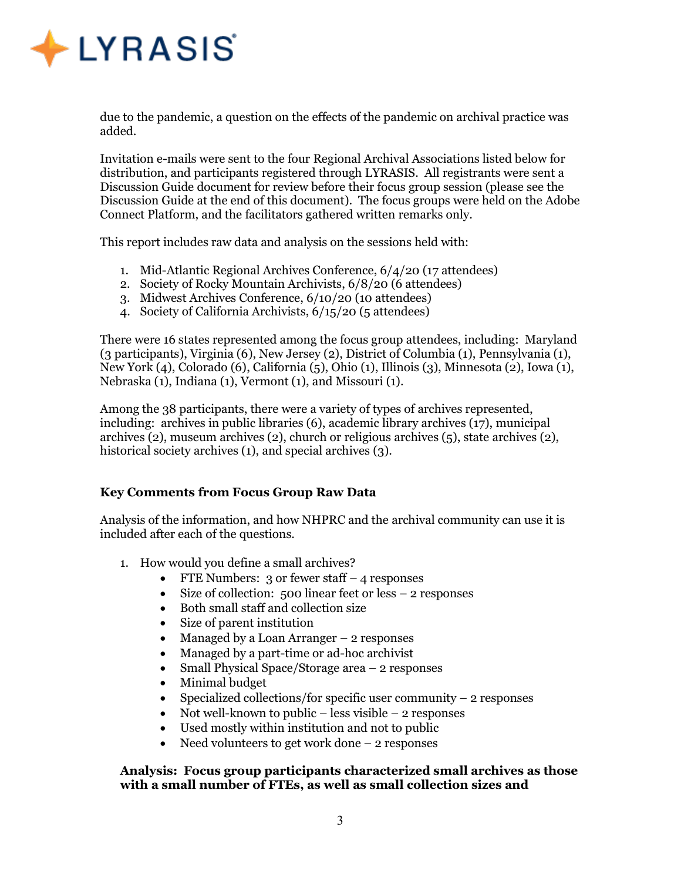

due to the pandemic, a question on the effects of the pandemic on archival practice was added.

Invitation e-mails were sent to the four Regional Archival Associations listed below for distribution, and participants registered through LYRASIS. All registrants were sent a Discussion Guide document for review before their focus group session (please see the Discussion Guide at the end of this document). The focus groups were held on the Adobe Connect Platform, and the facilitators gathered written remarks only.

This report includes raw data and analysis on the sessions held with:

- 1. Mid-Atlantic Regional Archives Conference, 6/4/20 (17 attendees)
- 2. Society of Rocky Mountain Archivists, 6/8/20 (6 attendees)
- 3. Midwest Archives Conference, 6/10/20 (10 attendees)
- 4. Society of California Archivists, 6/15/20 (5 attendees)

There were 16 states represented among the focus group attendees, including: Maryland (3 participants), Virginia (6), New Jersey (2), District of Columbia (1), Pennsylvania (1), New York (4), Colorado (6), California (5), Ohio (1), Illinois (3), Minnesota (2), Iowa (1), Nebraska (1), Indiana (1), Vermont (1), and Missouri (1).

Among the 38 participants, there were a variety of types of archives represented, including: archives in public libraries (6), academic library archives (17), municipal archives (2), museum archives (2), church or religious archives (5), state archives (2), historical society archives (1), and special archives (3).

### Key Comments from Focus Group Raw Data

Analysis of the information, and how NHPRC and the archival community can use it is included after each of the questions.

- 1. How would you define a small archives?
	- FTE Numbers: 3 or fewer staff  $-$  4 responses
	- $\bullet$  Size of collection: 500 linear feet or less  $-2$  responses
	- Both small staff and collection size
	- Size of parent institution
	- Managed by a Loan Arranger 2 responses
	- Managed by a part-time or ad-hoc archivist
	- Small Physical Space/Storage area 2 responses
	- Minimal budget
	- Specialized collections/for specific user community  $-2$  responses
	- Not well-known to public less visible 2 responses
	- Used mostly within institution and not to public
	- Need volunteers to get work done 2 responses

### Analysis: Focus group participants characterized small archives as those with a small number of FTEs, as well as small collection sizes and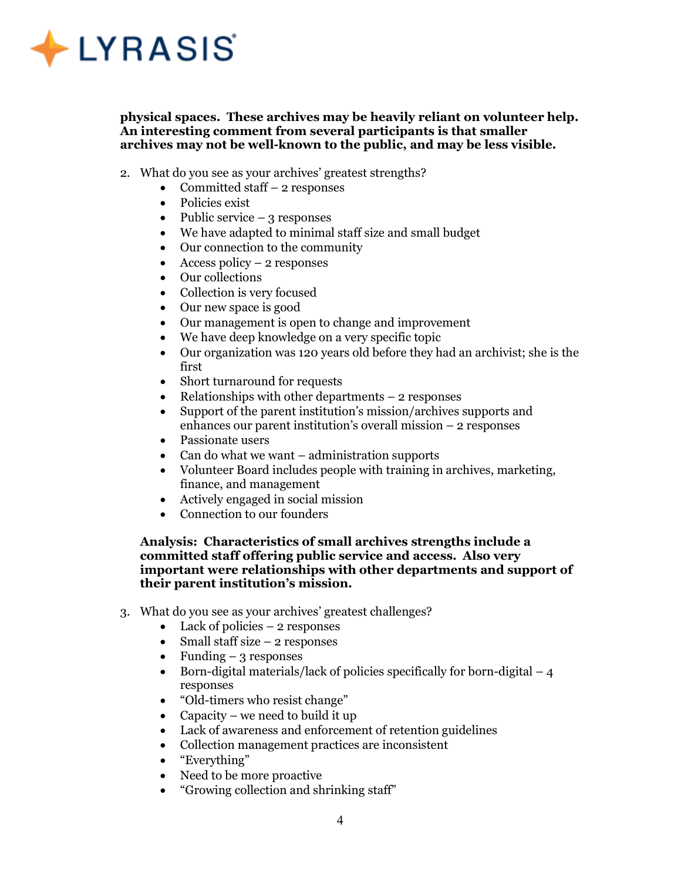

physical spaces. These archives may be heavily reliant on volunteer help. An interesting comment from several participants is that smaller archives may not be well-known to the public, and may be less visible.

- 2. What do you see as your archives' greatest strengths?
	- Committed staff  $-2$  responses
	- Policies exist
	- Public service  $-3$  responses
	- We have adapted to minimal staff size and small budget
	- Our connection to the community
	- Access policy  $2$  responses
	- Our collections
	- Collection is very focused
	- Our new space is good
	- Our management is open to change and improvement
	- We have deep knowledge on a very specific topic
	- Our organization was 120 years old before they had an archivist; she is the first
	- Short turnaround for requests
	- Relationships with other departments  $-2$  responses
	- Support of the parent institution's mission/archives supports and enhances our parent institution's overall mission – 2 responses
	- Passionate users
	- Can do what we want administration supports
	- Volunteer Board includes people with training in archives, marketing, finance, and management
	- Actively engaged in social mission
	- Connection to our founders

### Analysis: Characteristics of small archives strengths include a committed staff offering public service and access. Also very important were relationships with other departments and support of their parent institution's mission.

- 3. What do you see as your archives' greatest challenges?
	- Lack of policies  $-2$  responses
	- Small staff size  $-2$  responses
	- Funding  $-3$  responses
	- Born-digital materials/lack of policies specifically for born-digital  $-4$ responses
	- "Old-timers who resist change"
	- Capacity we need to build it up
	- Lack of awareness and enforcement of retention guidelines
	- Collection management practices are inconsistent
	- "Everything"
	- Need to be more proactive
	- "Growing collection and shrinking staff"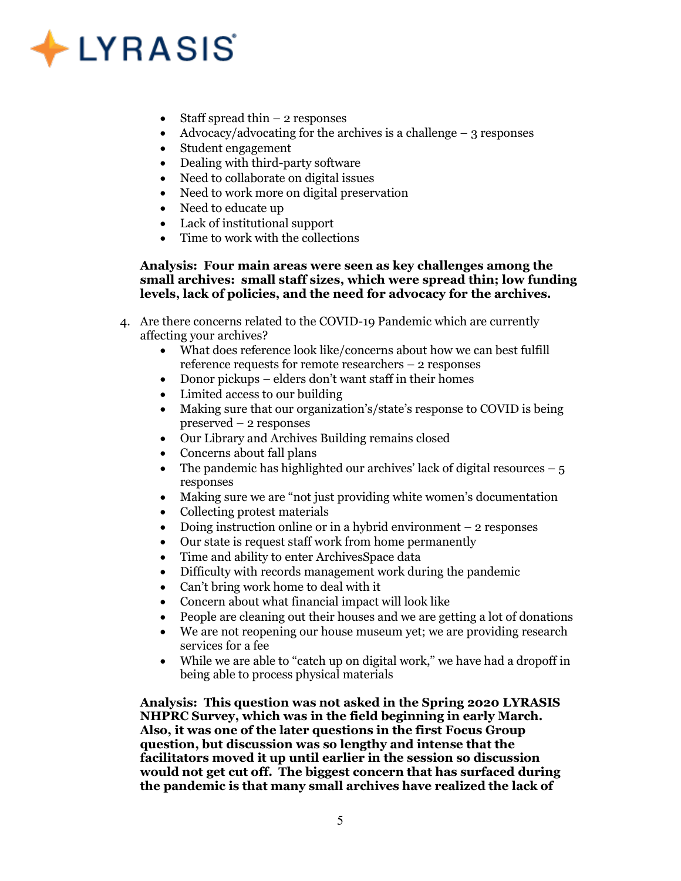## $\bigstar$  LYRASIS

- Staff spread thin  $-2$  responses
- Advocacy/advocating for the archives is a challenge  $-$  3 responses
- Student engagement
- Dealing with third-party software
- Need to collaborate on digital issues
- Need to work more on digital preservation
- Need to educate up
- Lack of institutional support
- Time to work with the collections

### Analysis: Four main areas were seen as key challenges among the small archives: small staff sizes, which were spread thin; low funding levels, lack of policies, and the need for advocacy for the archives.

- 4. Are there concerns related to the COVID-19 Pandemic which are currently affecting your archives?
	- What does reference look like/concerns about how we can best fulfill reference requests for remote researchers – 2 responses
	- Donor pickups elders don't want staff in their homes
	- Limited access to our building
	- Making sure that our organization's/state's response to COVID is being preserved – 2 responses
	- Our Library and Archives Building remains closed
	- Concerns about fall plans
	- The pandemic has highlighted our archives' lack of digital resources  $-5$ responses
	- Making sure we are "not just providing white women's documentation
	- Collecting protest materials
	- Doing instruction online or in a hybrid environment 2 responses
	- Our state is request staff work from home permanently
	- Time and ability to enter ArchivesSpace data
	- Difficulty with records management work during the pandemic
	- Can't bring work home to deal with it
	- Concern about what financial impact will look like
	- People are cleaning out their houses and we are getting a lot of donations
	- We are not reopening our house museum yet; we are providing research services for a fee
	- While we are able to "catch up on digital work," we have had a dropoff in being able to process physical materials

Analysis: This question was not asked in the Spring 2020 LYRASIS NHPRC Survey, which was in the field beginning in early March. Also, it was one of the later questions in the first Focus Group question, but discussion was so lengthy and intense that the facilitators moved it up until earlier in the session so discussion would not get cut off. The biggest concern that has surfaced during the pandemic is that many small archives have realized the lack of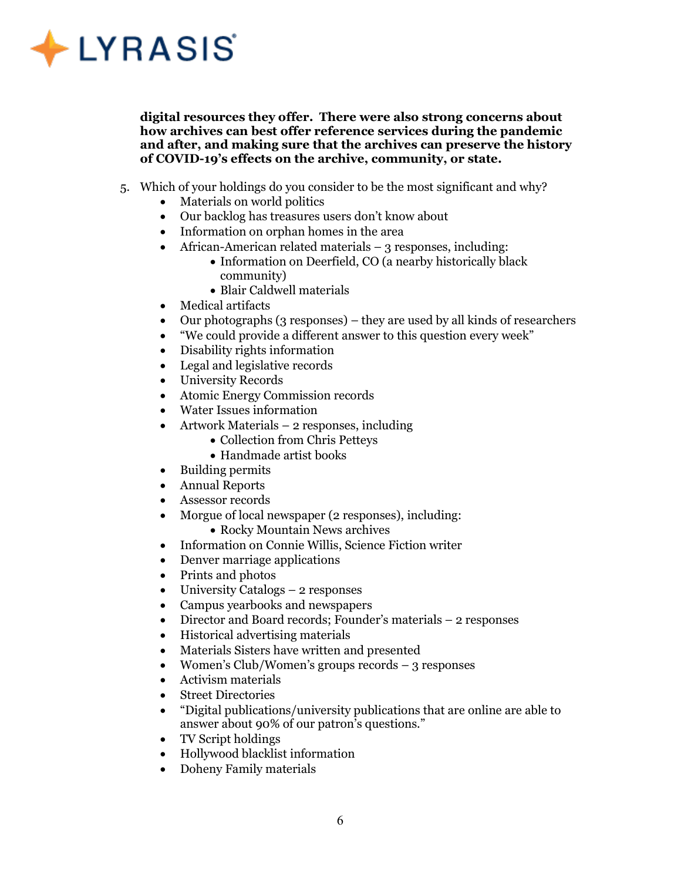

digital resources they offer. There were also strong concerns about how archives can best offer reference services during the pandemic and after, and making sure that the archives can preserve the history of COVID-19's effects on the archive, community, or state.

- 5. Which of your holdings do you consider to be the most significant and why?
	- Materials on world politics
	- Our backlog has treasures users don't know about
	- Information on orphan homes in the area
	- African-American related materials  $-3$  responses, including:
		- Information on Deerfield, CO (a nearby historically black community)
		- Blair Caldwell materials
	- Medical artifacts
	- Our photographs (3 responses) they are used by all kinds of researchers
	- "We could provide a different answer to this question every week"
	- Disability rights information
	- Legal and legislative records
	- University Records
	- Atomic Energy Commission records
	- Water Issues information
	- Artwork Materials 2 responses, including
		- Collection from Chris Petteys
		- Handmade artist books
	- Building permits
	- Annual Reports
	- Assessor records
	- Morgue of local newspaper (2 responses), including:
		- Rocky Mountain News archives
	- Information on Connie Willis, Science Fiction writer
	- Denver marriage applications
	- Prints and photos
	- University Catalogs 2 responses
	- Campus yearbooks and newspapers
	- Director and Board records; Founder's materials 2 responses
	- Historical advertising materials
	- Materials Sisters have written and presented
	- Women's Club/Women's groups records 3 responses
	- Activism materials
	- Street Directories
	- "Digital publications/university publications that are online are able to answer about 90% of our patron's questions."
	- TV Script holdings
	- Hollywood blacklist information
	- Doheny Family materials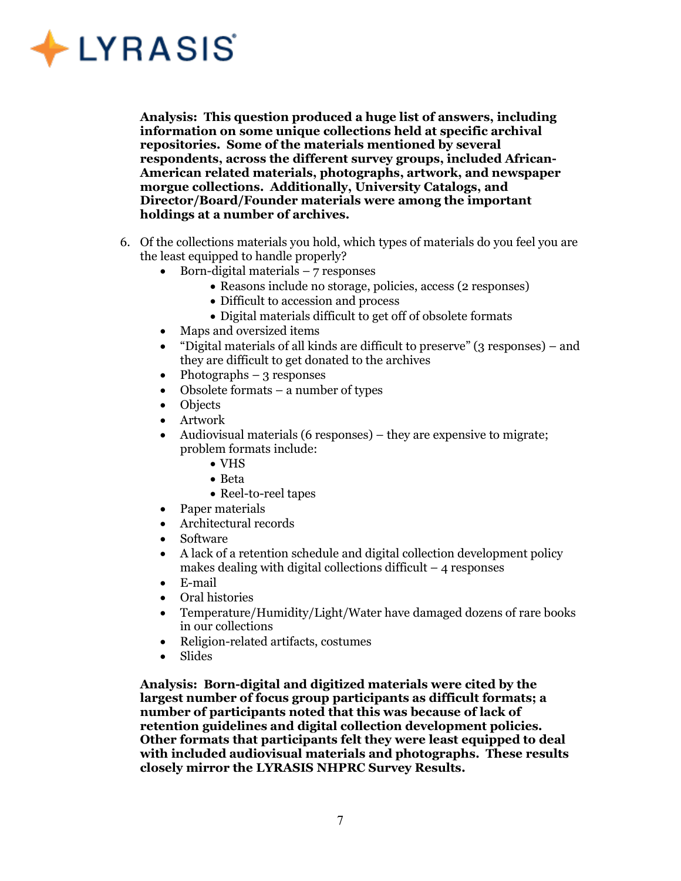

Analysis: This question produced a huge list of answers, including information on some unique collections held at specific archival repositories. Some of the materials mentioned by several respondents, across the different survey groups, included African-American related materials, photographs, artwork, and newspaper morgue collections. Additionally, University Catalogs, and Director/Board/Founder materials were among the important holdings at a number of archives.

- 6. Of the collections materials you hold, which types of materials do you feel you are the least equipped to handle properly?
	- $\bullet$  Born-digital materials 7 responses
		- Reasons include no storage, policies, access (2 responses)
		- Difficult to accession and process
		- Digital materials difficult to get off of obsolete formats
	- Maps and oversized items
	- "Digital materials of all kinds are difficult to preserve" (3 responses) and they are difficult to get donated to the archives
	- Photographs 3 responses
	- Obsolete formats a number of types
	- Objects
	- Artwork
	- Audiovisual materials (6 responses) they are expensive to migrate; problem formats include:
		- VHS
		- Beta
		- Reel-to-reel tapes
	- Paper materials
	- Architectural records
	- Software
	- A lack of a retention schedule and digital collection development policy makes dealing with digital collections difficult  $-4$  responses
	- E-mail
	- Oral histories
	- Temperature/Humidity/Light/Water have damaged dozens of rare books in our collections
	- Religion-related artifacts, costumes
	- Slides

Analysis: Born-digital and digitized materials were cited by the largest number of focus group participants as difficult formats; a number of participants noted that this was because of lack of retention guidelines and digital collection development policies. Other formats that participants felt they were least equipped to deal with included audiovisual materials and photographs. These results closely mirror the LYRASIS NHPRC Survey Results.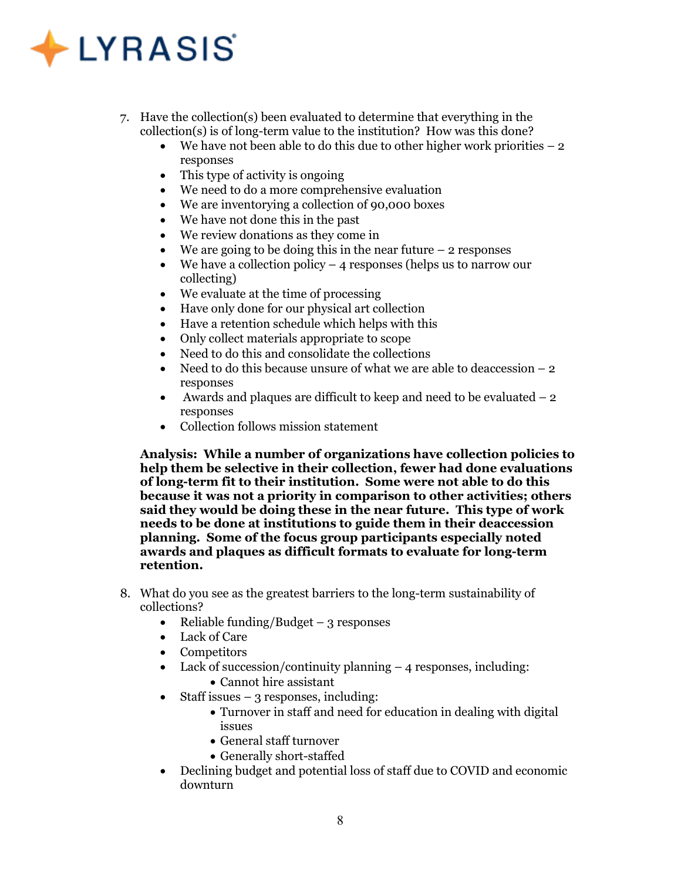# $\bigstar$  LYRASIS

- 7. Have the collection(s) been evaluated to determine that everything in the collection(s) is of long-term value to the institution? How was this done?
	- $\bullet$  We have not been able to do this due to other higher work priorities  $-2$ responses
	- This type of activity is ongoing
	- We need to do a more comprehensive evaluation
	- We are inventorying a collection of 90,000 boxes
	- We have not done this in the past
	- We review donations as they come in
	- $\bullet$  We are going to be doing this in the near future 2 responses
	- We have a collection policy  $-4$  responses (helps us to narrow our collecting)
	- We evaluate at the time of processing
	- Have only done for our physical art collection
	- Have a retention schedule which helps with this
	- Only collect materials appropriate to scope
	- Need to do this and consolidate the collections
	- Need to do this because unsure of what we are able to deaccession  $-2$ responses
	- Awards and plaques are difficult to keep and need to be evaluated  $-2$ responses
	- Collection follows mission statement

Analysis: While a number of organizations have collection policies to help them be selective in their collection, fewer had done evaluations of long-term fit to their institution. Some were not able to do this because it was not a priority in comparison to other activities; others said they would be doing these in the near future. This type of work needs to be done at institutions to guide them in their deaccession planning. Some of the focus group participants especially noted awards and plaques as difficult formats to evaluate for long-term retention.

- 8. What do you see as the greatest barriers to the long-term sustainability of collections?
	- Reliable funding/Budget  $-$  3 responses
	- Lack of Care
	- Competitors
	- Lack of succession/continuity planning 4 responses, including:
		- Cannot hire assistant
	- Staff issues  $-3$  responses, including:
		- Turnover in staff and need for education in dealing with digital issues
		- General staff turnover
		- Generally short-staffed
	- Declining budget and potential loss of staff due to COVID and economic downturn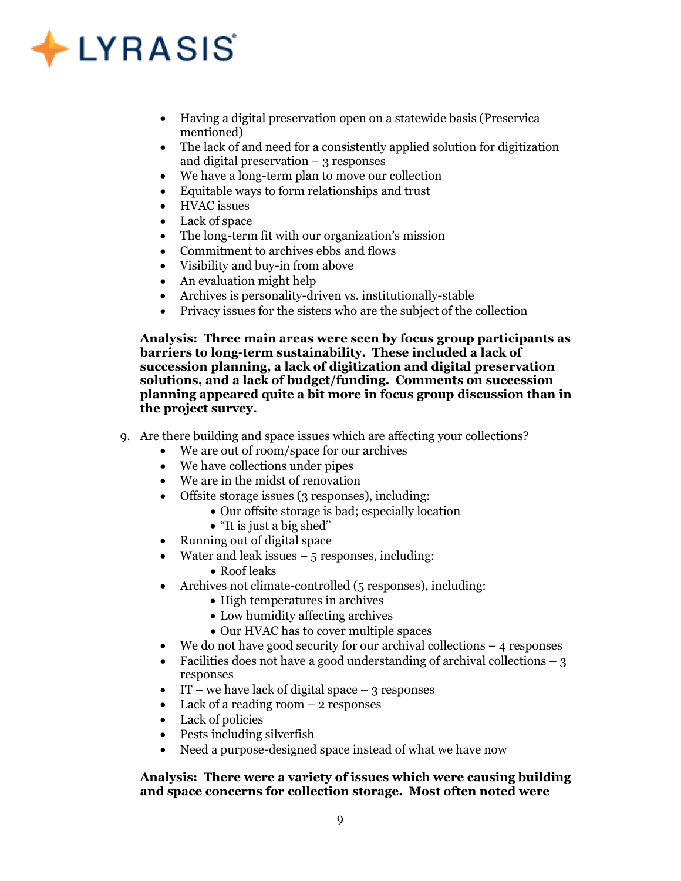## $\triangle$  LYRASIS

- Having a digital preservation open on a statewide basis (Preservica mentioned)
- The lack of and need for a consistently applied solution for digitization and digital preservation  $-$  3 responses
- We have a long-term plan to move our collection
- Equitable ways to form relationships and trust
- HVAC issues
- Lack of space
- The long-term fit with our organization's mission
- Commitment to archives ebbs and flows
- Visibility and buy-in from above
- An evaluation might help
- Archives is personality-driven vs. institutionally-stable
- Privacy issues for the sisters who are the subject of the collection

Analysis: Three main areas were seen by focus group participants as barriers to long-term sustainability. These included a lack of succession planning, a lack of digitization and digital preservation solutions, and a lack of budget/funding. Comments on succession planning appeared quite a bit more in focus group discussion than in the project survey.

- 9. Are there building and space issues which are affecting your collections?
	- We are out of room/space for our archives
	- We have collections under pipes
	- We are in the midst of renovation
	- Offsite storage issues (3 responses), including:
		- Our offsite storage is bad; especially location
		- "It is just a big shed"
	- Running out of digital space
	- Water and leak issues  $-5$  responses, including:
		- Roof leaks
	- Archives not climate-controlled (5 responses), including:
		- High temperatures in archives
		- Low humidity affecting archives
		- Our HVAC has to cover multiple spaces
	- $\bullet$  We do not have good security for our archival collections  $-4$  responses
	- Facilities does not have a good understanding of archival collections  $-3$ responses
	- $\bullet$  IT we have lack of digital space 3 responses
	- Lack of a reading room 2 responses
	- Lack of policies
	- Pests including silverfish
	- Need a purpose-designed space instead of what we have now

### Analysis: There were a variety of issues which were causing building and space concerns for collection storage. Most often noted were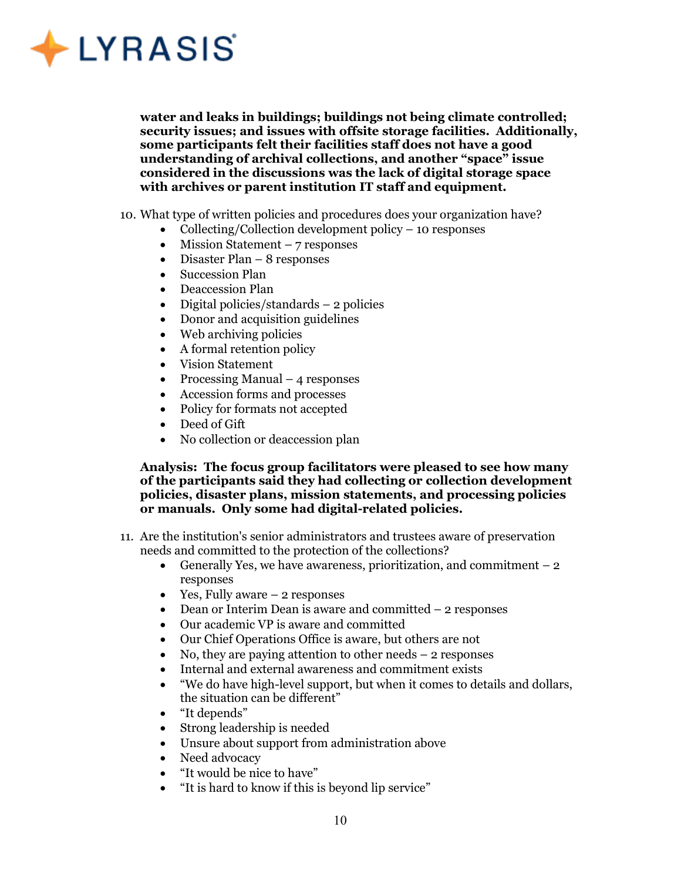

water and leaks in buildings; buildings not being climate controlled; security issues; and issues with offsite storage facilities. Additionally, some participants felt their facilities staff does not have a good understanding of archival collections, and another "space" issue considered in the discussions was the lack of digital storage space with archives or parent institution IT staff and equipment.

- 10. What type of written policies and procedures does your organization have?
	- Collecting/Collection development policy 10 responses
	- $\bullet$  Mission Statement 7 responses
	- $\bullet$  Disaster Plan 8 responses
	- Succession Plan
	- Deaccession Plan
	- Digital policies/standards 2 policies
	- Donor and acquisition guidelines
	- Web archiving policies
	- A formal retention policy
	- Vision Statement
	- Processing Manual 4 responses
	- Accession forms and processes
	- Policy for formats not accepted
	- Deed of Gift
	- No collection or deaccession plan

Analysis: The focus group facilitators were pleased to see how many of the participants said they had collecting or collection development policies, disaster plans, mission statements, and processing policies or manuals. Only some had digital-related policies.

- 11. Are the institution's senior administrators and trustees aware of preservation needs and committed to the protection of the collections?
	- Generally Yes, we have awareness, prioritization, and commitment  $-2$ responses
	- Yes, Fully aware  $-2$  responses
	- $\bullet$  Dean or Interim Dean is aware and committed  $-2$  responses
	- Our academic VP is aware and committed
	- Our Chief Operations Office is aware, but others are not
	- No, they are paying attention to other needs  $-2$  responses
	- Internal and external awareness and commitment exists
	- "We do have high-level support, but when it comes to details and dollars, the situation can be different"
	- "It depends"
	- Strong leadership is needed
	- Unsure about support from administration above
	- Need advocacy
	- "It would be nice to have"
	- "It is hard to know if this is beyond lip service"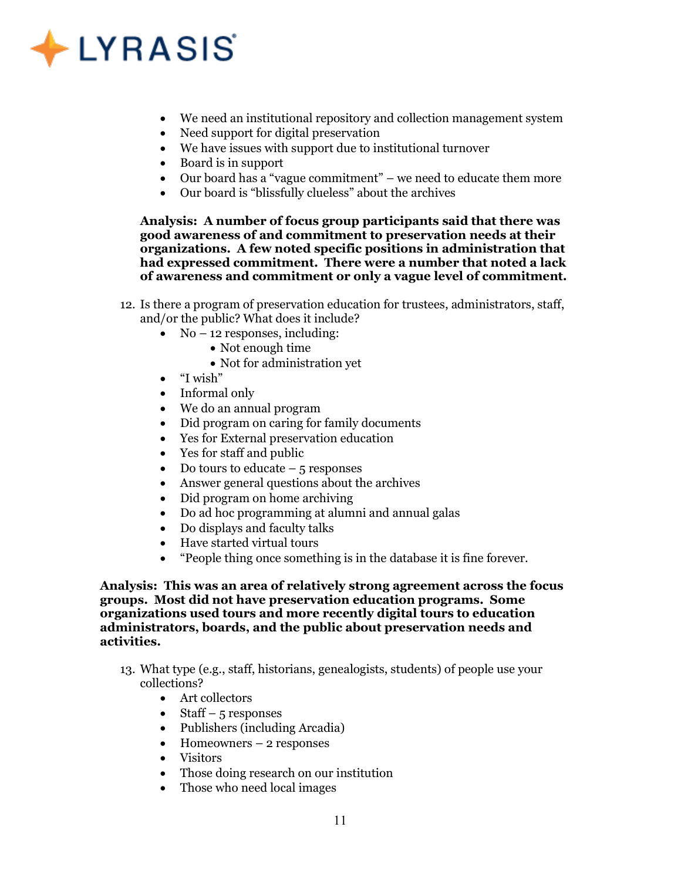

- We need an institutional repository and collection management system
- Need support for digital preservation
- We have issues with support due to institutional turnover
- Board is in support
- Our board has a "vague commitment" we need to educate them more
- Our board is "blissfully clueless" about the archives

Analysis: A number of focus group participants said that there was good awareness of and commitment to preservation needs at their organizations. A few noted specific positions in administration that had expressed commitment. There were a number that noted a lack of awareness and commitment or only a vague level of commitment.

- 12. Is there a program of preservation education for trustees, administrators, staff, and/or the public? What does it include?
	- No 12 responses, including:
		- Not enough time
		- Not for administration yet
	- "I wish"
	- Informal only
	- We do an annual program
	- Did program on caring for family documents
	- Yes for External preservation education
	- Yes for staff and public
	- Do tours to educate  $-5$  responses
	- Answer general questions about the archives
	- Did program on home archiving
	- Do ad hoc programming at alumni and annual galas
	- Do displays and faculty talks
	- Have started virtual tours
	- "People thing once something is in the database it is fine forever.

Analysis: This was an area of relatively strong agreement across the focus groups. Most did not have preservation education programs. Some organizations used tours and more recently digital tours to education administrators, boards, and the public about preservation needs and activities.

- 13. What type (e.g., staff, historians, genealogists, students) of people use your collections?
	- Art collectors
	- Staff 5 responses
	- Publishers (including Arcadia)
	- $\bullet$  Homeowners 2 responses
	- Visitors
	- Those doing research on our institution
	- Those who need local images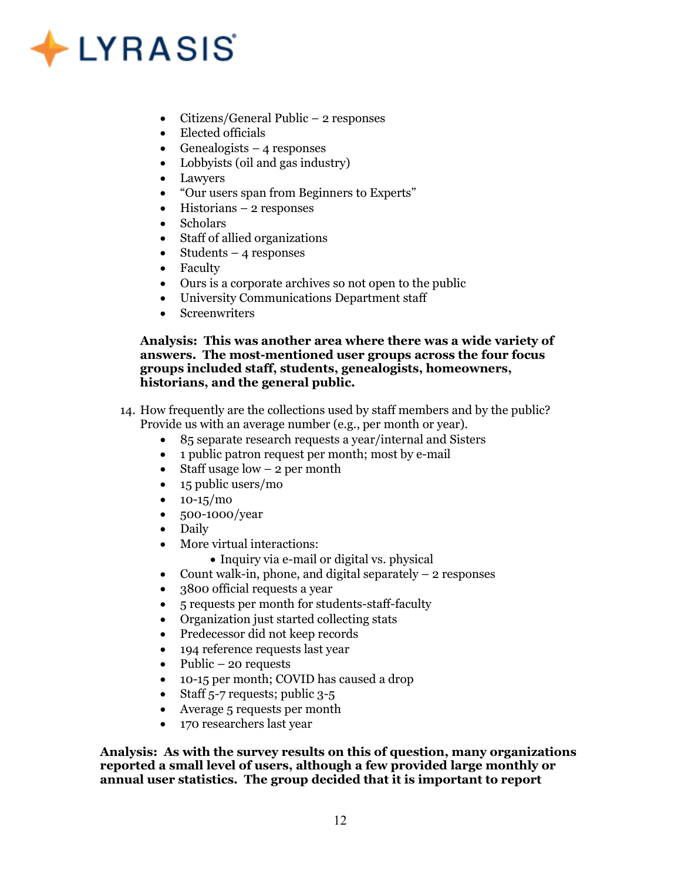## $\bigstar$  LYRASIS

- Citizens/General Public 2 responses
- Elected officials
- Genealogists 4 responses
- Lobbyists (oil and gas industry)
- Lawyers<br>•  $\frac{u}{2}$ Our use
- "Our users span from Beginners to Experts"
- $\bullet$  Historians 2 responses
- Scholars
- Staff of allied organizations
- $\bullet$  Students 4 responses
- Faculty
- Ours is a corporate archives so not open to the public
- University Communications Department staff
- Screenwriters

### Analysis: This was another area where there was a wide variety of answers. The most-mentioned user groups across the four focus groups included staff, students, genealogists, homeowners, historians, and the general public.

- 14. How frequently are the collections used by staff members and by the public? Provide us with an average number (e.g., per month or year).
	- 85 separate research requests a year/internal and Sisters
	- 1 public patron request per month; most by e-mail
	- Staff usage  $low 2$  per month
	- 15 public users/mo
	- $\bullet$  10-15/mo
	- 500-1000/year
	- Daily
	- More virtual interactions:
		- Inquiry via e-mail or digital vs. physical
	- Count walk-in, phone, and digital separately  $-2$  responses
	- 3800 official requests a year
	- 5 requests per month for students-staff-faculty
	- Organization just started collecting stats
	- Predecessor did not keep records
	- 194 reference requests last year
	- Public 20 requests
	- 10-15 per month; COVID has caused a drop
	- Staff  $5-7$  requests; public  $3-5$
	- Average 5 requests per month
	- 170 researchers last year

Analysis: As with the survey results on this of question, many organizations reported a small level of users, although a few provided large monthly or annual user statistics. The group decided that it is important to report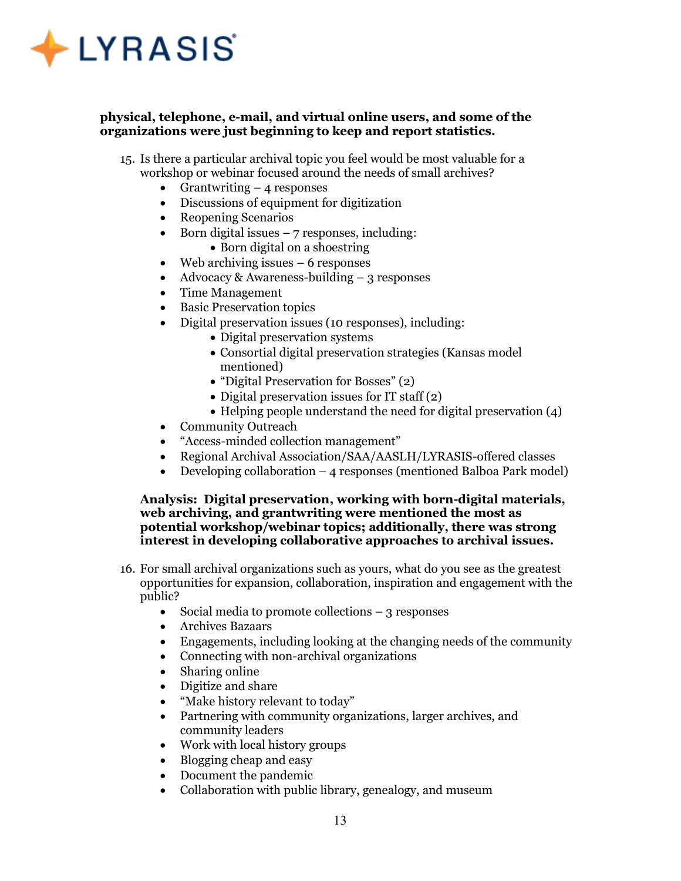

### physical, telephone, e-mail, and virtual online users, and some of the organizations were just beginning to keep and report statistics.

- 15. Is there a particular archival topic you feel would be most valuable for a workshop or webinar focused around the needs of small archives?
	- Grantwriting  $-4$  responses
	- Discussions of equipment for digitization
	- Reopening Scenarios
	- $\bullet$  Born digital issues  $-7$  responses, including:
		- Born digital on a shoestring
	- $\bullet$  Web archiving issues 6 responses
	- Advocacy & Awareness-building  $-$  3 responses
	- Time Management
	- Basic Preservation topics
	- Digital preservation issues (10 responses), including:
		- Digital preservation systems
		- Consortial digital preservation strategies (Kansas model mentioned)
		- "Digital Preservation for Bosses" (2)
		- Digital preservation issues for  $IT$  staff  $(2)$
		- $\bullet$  Helping people understand the need for digital preservation (4)
	- Community Outreach
	- "Access-minded collection management"
	- Regional Archival Association/SAA/AASLH/LYRASIS-offered classes
	- Developing collaboration 4 responses (mentioned Balboa Park model)

### Analysis: Digital preservation, working with born-digital materials, web archiving, and grantwriting were mentioned the most as potential workshop/webinar topics; additionally, there was strong interest in developing collaborative approaches to archival issues.

- 16. For small archival organizations such as yours, what do you see as the greatest opportunities for expansion, collaboration, inspiration and engagement with the public?
	- $\bullet$  Social media to promote collections  $-3$  responses
	- Archives Bazaars
	- Engagements, including looking at the changing needs of the community
	- Connecting with non-archival organizations
	- Sharing online
	- Digitize and share
	- "Make history relevant to today"
	- Partnering with community organizations, larger archives, and community leaders
	- Work with local history groups
	- Blogging cheap and easy
	- Document the pandemic
	- Collaboration with public library, genealogy, and museum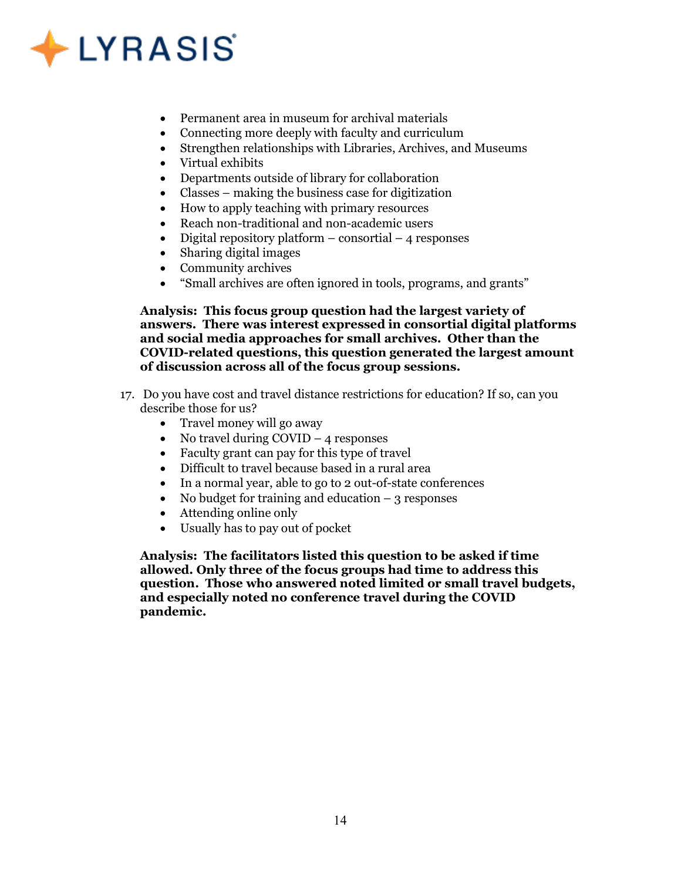## $\triangle$  LYRASIS

- Permanent area in museum for archival materials
- Connecting more deeply with faculty and curriculum
- Strengthen relationships with Libraries, Archives, and Museums
- Virtual exhibits
- Departments outside of library for collaboration
- Classes making the business case for digitization
- How to apply teaching with primary resources
- Reach non-traditional and non-academic users
- $\bullet$  Digital repository platform consortial 4 responses
- Sharing digital images
- Community archives
- "Small archives are often ignored in tools, programs, and grants"

Analysis: This focus group question had the largest variety of answers. There was interest expressed in consortial digital platforms and social media approaches for small archives. Other than the COVID-related questions, this question generated the largest amount of discussion across all of the focus group sessions.

- 17. Do you have cost and travel distance restrictions for education? If so, can you describe those for us?
	- Travel money will go away
	- No travel during  $\text{COVID} 4$  responses
	- Faculty grant can pay for this type of travel
	- Difficult to travel because based in a rural area
	- In a normal year, able to go to 2 out-of-state conferences
	- No budget for training and education  $-3$  responses
	- Attending online only
	- Usually has to pay out of pocket

Analysis: The facilitators listed this question to be asked if time allowed. Only three of the focus groups had time to address this question. Those who answered noted limited or small travel budgets, and especially noted no conference travel during the COVID pandemic.